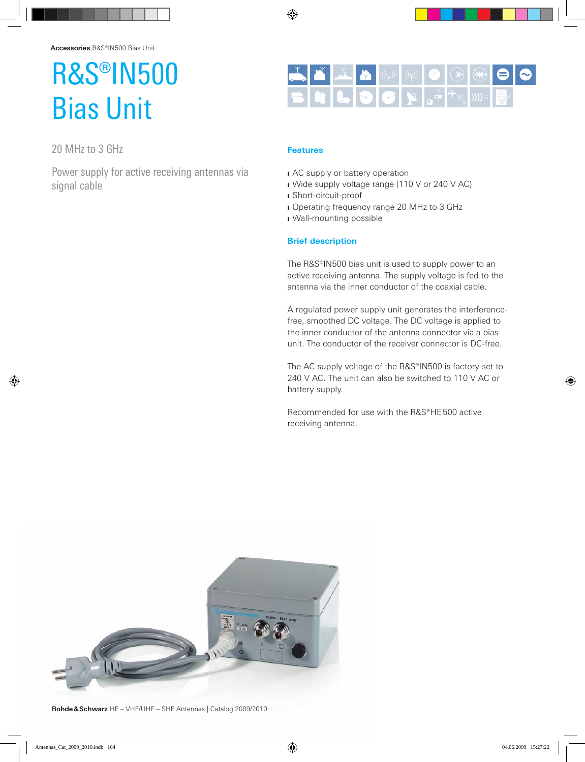## R&S®IN500 Bias Unit

20 MHz to 3 GHz

Power supply for active receiving antennas via signal cable



## **Features**

- I AC supply or battery operation
- I Wide supply voltage range (110 V or 240 V AC)
- J Short-circuit-proof
- I Operating frequency range 20 MHz to 3 GHz
- I Wall-mounting possible

## **Brief description**

The R&S®IN500 bias unit is used to supply power to an active receiving antenna. The supply voltage is fed to the antenna via the inner conductor of the coaxial cable.

A regulated power supply unit generates the interferencefree, smoothed DC voltage. The DC voltage is applied to the inner conductor of the antenna connector via a bias unit. The conductor of the receiver connector is DC-free.

The AC supply voltage of the R&S®IN500 is factory-set to 240 V AC. The unit can also be switched to 110 V AC or battery supply.

Recommended for use with the R&S®HE500 active receiving antenna.



**Rohde& Schwarz** HF – VHF/UHF – SHF Antennas | Catalog 2009/2010